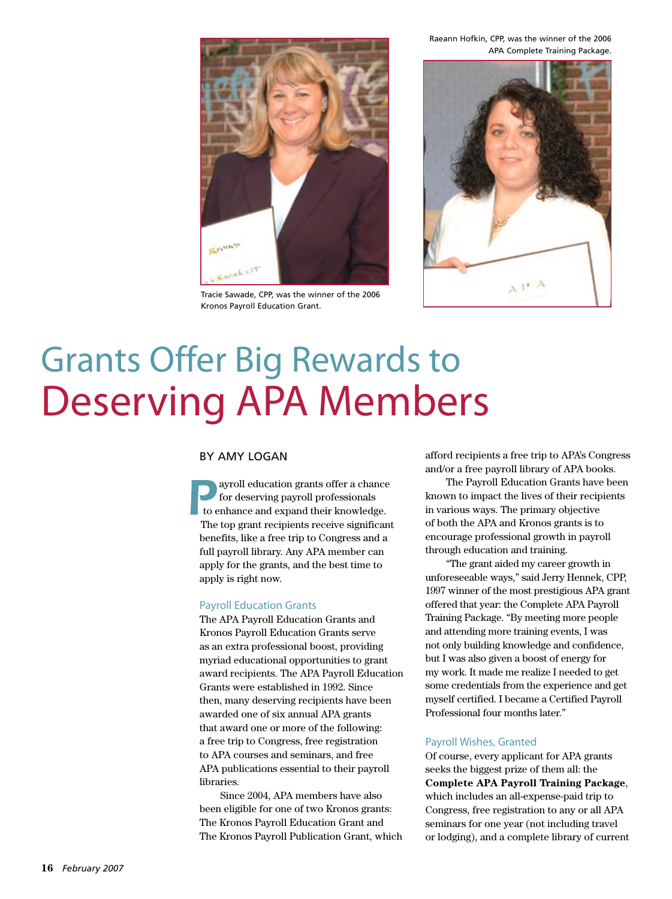Raeann Hofkin, CPP, was the winner of the 2006 APA Complete Training Package.



Tracie Sawade, CPP, was the winner of the 2006 Kronos Payroll Education Grant.



# Grants Offer Big Rewards to Deserving APA Members

#### By Amy Logan

ayroll education grants offer a chance for deserving payroll professionals to enhance and expand their knowledge. The top grant recipients receive significant benefits, like a free trip to Congress and a full payroll library. Any APA member can apply for the grants, and the best time to apply is right now.

#### Payroll Education Grants

The APA Payroll Education Grants and Kronos Payroll Education Grants serve as an extra professional boost, providing myriad educational opportunities to grant award recipients. The APA Payroll Education Grants were established in 1992. Since then, many deserving recipients have been awarded one of six annual APA grants that award one or more of the following: a free trip to Congress, free registration to APA courses and seminars, and free APA publications essential to their payroll libraries.

Since 2004, APA members have also been eligible for one of two Kronos grants: The Kronos Payroll Education Grant and The Kronos Payroll Publication Grant, which afford recipients a free trip to APA's Congress and/or a free payroll library of APA books.

The Payroll Education Grants have been known to impact the lives of their recipients in various ways. The primary objective of both the APA and Kronos grants is to encourage professional growth in payroll through education and training.

"The grant aided my career growth in unforeseeable ways," said Jerry Hennek, CPP, 1997 winner of the most prestigious APA grant offered that year: the Complete APA Payroll Training Package. "By meeting more people and attending more training events, I was not only building knowledge and confidence, but I was also given a boost of energy for my work. It made me realize I needed to get some credentials from the experience and get myself certified. I became a Certified Payroll Professional four months later."

#### Payroll Wishes, Granted

Of course, every applicant for APA grants seeks the biggest prize of them all: the **Complete APA Payroll Training Package**, which includes an all-expense-paid trip to Congress, free registration to any or all APA seminars for one year (not including travel or lodging), and a complete library of current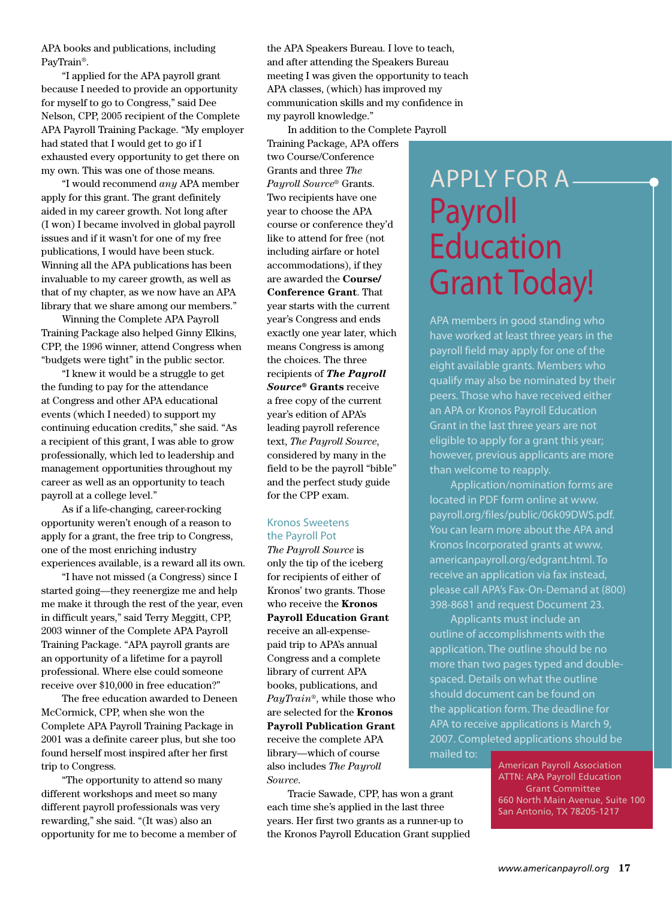APA books and publications, including PayTrain®.

"I applied for the APA payroll grant because I needed to provide an opportunity for myself to go to Congress," said Dee Nelson, CPP, 2005 recipient of the Complete APA Payroll Training Package. "My employer had stated that I would get to go if I exhausted every opportunity to get there on my own. This was one of those means.

"I would recommend *any* APA member apply for this grant. The grant definitely aided in my career growth. Not long after (I won) I became involved in global payroll issues and if it wasn't for one of my free publications, I would have been stuck. Winning all the APA publications has been invaluable to my career growth, as well as that of my chapter, as we now have an APA library that we share among our members."

Winning the Complete APA Payroll Training Package also helped Ginny Elkins, CPP, the 1996 winner, attend Congress when "budgets were tight" in the public sector.

"I knew it would be a struggle to get the funding to pay for the attendance at Congress and other APA educational events (which I needed) to support my continuing education credits," she said. "As a recipient of this grant, I was able to grow professionally, which led to leadership and management opportunities throughout my career as well as an opportunity to teach payroll at a college level."

As if a life-changing, career-rocking opportunity weren't enough of a reason to apply for a grant, the free trip to Congress, one of the most enriching industry experiences available, is a reward all its own.

"I have not missed (a Congress) since I started going—they reenergize me and help me make it through the rest of the year, even in difficult years," said Terry Meggitt, CPP, 2003 winner of the Complete APA Payroll Training Package. "APA payroll grants are an opportunity of a lifetime for a payroll professional. Where else could someone receive over \$10,000 in free education?"

The free education awarded to Deneen McCormick, CPP, when she won the Complete APA Payroll Training Package in 2001 was a definite career plus, but she too found herself most inspired after her first trip to Congress.

"The opportunity to attend so many different workshops and meet so many different payroll professionals was very rewarding," she said. "(It was) also an opportunity for me to become a member of the APA Speakers Bureau. I love to teach, and after attending the Speakers Bureau meeting I was given the opportunity to teach APA classes, (which) has improved my communication skills and my confidence in my payroll knowledge."

In addition to the Complete Payroll

Training Package, APA offers two Course/Conference Grants and three *The Payroll Source®* Grants. Two recipients have one year to choose the APA course or conference they'd like to attend for free (not including airfare or hotel accommodations), if they are awarded the **Course/ Conference Grant**. That year starts with the current year's Congress and ends exactly one year later, which means Congress is among the choices. The three recipients of *The Payroll Source®* **Grants** receive a free copy of the current year's edition of APA's leading payroll reference text, *The Payroll Source*, considered by many in the field to be the payroll "bible" and the perfect study guide for the CPP exam.

#### Kronos Sweetens the Payroll Pot

*The Payroll Source* is only the tip of the iceberg for recipients of either of Kronos' two grants. Those who receive the **Kronos Payroll Education Grant** receive an all-expensepaid trip to APA's annual Congress and a complete library of current APA books, publications, and *PayTrain*®, while those who are selected for the **Kronos Payroll Publication Grant** receive the complete APA library—which of course also includes *The Payroll Source*.

Tracie Sawade, CPP, has won a grant each time she's applied in the last three years. Her first two grants as a runner-up to the Kronos Payroll Education Grant supplied

# Apply for a Payroll Education Grant Today!

APA members in good standing who have worked at least three years in the payroll field may apply for one of the eight available grants. Members who qualify may also be nominated by their peers. Those who have received either an APA or Kronos Payroll Education Grant in the last three years are not eligible to apply for a grant this year; however, previous applicants are more than welcome to reapply.

Application/nomination forms are located in PDF form online at www. payroll.org/files/public/06k09DWS.pdf. You can learn more about the APA and Kronos Incorporated grants at www. americanpayroll.org/edgrant.html. To receive an application via fax instead, please call APA's Fax-On-Demand at (800) 398-8681 and request Document 23.

Applicants must include an outline of accomplishments with the application. The outline should be no more than two pages typed and doublespaced. Details on what the outline should document can be found on the application form. The deadline for APA to receive applications is March 9, 2007. Completed applications should be mailed to:

American Payroll Association ATTN: APA Payroll Education Grant Committee 660 North Main Avenue, Suite 100 San Antonio, TX 78205-1217